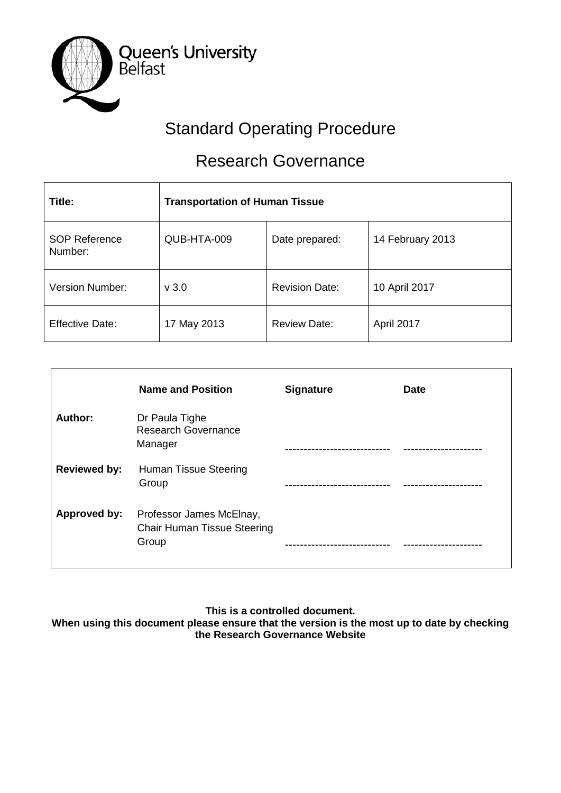

# Standard Operating Procedure

# Research Governance

| Title:                          | <b>Transportation of Human Tissue</b> |                       |                  |
|---------------------------------|---------------------------------------|-----------------------|------------------|
| <b>SOP Reference</b><br>Number: | QUB-HTA-009                           | Date prepared:        | 14 February 2013 |
| <b>Version Number:</b>          | v3.0                                  | <b>Revision Date:</b> | 10 April 2017    |
| <b>Effective Date:</b>          | 17 May 2013                           | <b>Review Date:</b>   | April 2017       |

|                     | <b>Name and Position</b>                                                | <b>Signature</b> | <b>Date</b> |
|---------------------|-------------------------------------------------------------------------|------------------|-------------|
| Author:             | Dr Paula Tighe<br><b>Research Governance</b><br>Manager                 |                  |             |
| <b>Reviewed by:</b> | <b>Human Tissue Steering</b><br>Group                                   |                  |             |
| <b>Approved by:</b> | Professor James McElnay,<br><b>Chair Human Tissue Steering</b><br>Group |                  |             |

**This is a controlled document.**

**When using this document please ensure that the version is the most up to date by checking the Research Governance Website**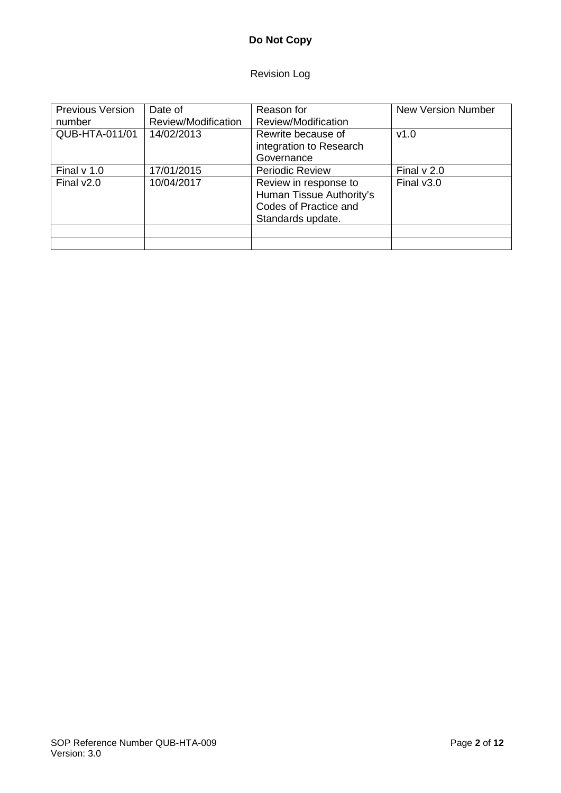# Revision Log

| <b>Previous Version</b><br>number | Date of<br>Review/Modification | Reason for<br>Review/Modification                                                               | <b>New Version Number</b> |
|-----------------------------------|--------------------------------|-------------------------------------------------------------------------------------------------|---------------------------|
| QUB-HTA-011/01                    | 14/02/2013                     | Rewrite because of<br>integration to Research<br>Governance                                     | v1.0                      |
| Final $v$ 1.0                     | 17/01/2015                     | <b>Periodic Review</b>                                                                          | Final $v$ 2.0             |
| Final $v2.0$                      | 10/04/2017                     | Review in response to<br>Human Tissue Authority's<br>Codes of Practice and<br>Standards update. | Final $v3.0$              |
|                                   |                                |                                                                                                 |                           |
|                                   |                                |                                                                                                 |                           |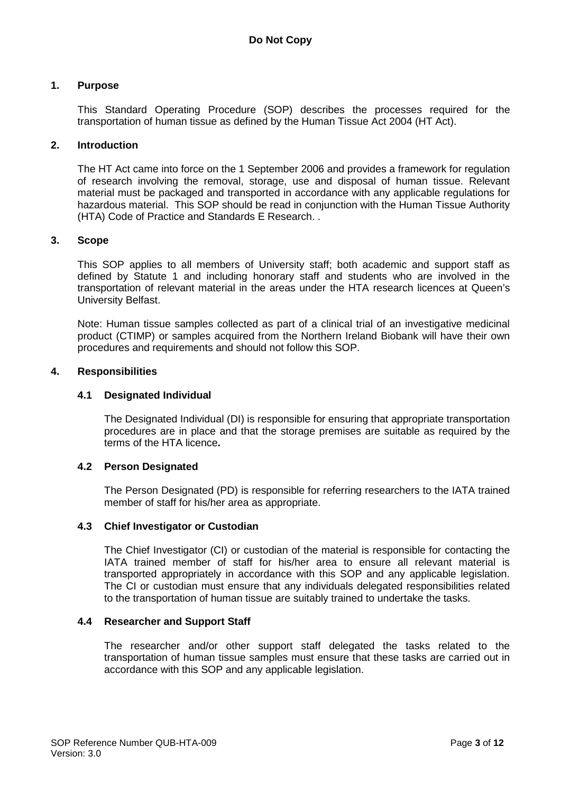#### **1. Purpose**

This Standard Operating Procedure (SOP) describes the processes required for the transportation of human tissue as defined by the Human Tissue Act 2004 (HT Act).

#### **2. Introduction**

The HT Act came into force on the 1 September 2006 and provides a framework for regulation of research involving the removal, storage, use and disposal of human tissue. Relevant material must be packaged and transported in accordance with any applicable regulations for hazardous material. This SOP should be read in conjunction with the Human Tissue Authority (HTA) Code of Practice and Standards E Research. .

#### **3. Scope**

This SOP applies to all members of University staff; both academic and support staff as defined by Statute 1 and including honorary staff and students who are involved in the transportation of relevant material in the areas under the HTA research licences at Queen's University Belfast.

Note: Human tissue samples collected as part of a clinical trial of an investigative medicinal product (CTIMP) or samples acquired from the Northern Ireland Biobank will have their own procedures and requirements and should not follow this SOP.

#### **4. Responsibilities**

#### **4.1 Designated Individual**

The Designated Individual (DI) is responsible for ensuring that appropriate transportation procedures are in place and that the storage premises are suitable as required by the terms of the HTA licence**.**

#### **4.2 Person Designated**

The Person Designated (PD) is responsible for referring researchers to the IATA trained member of staff for his/her area as appropriate.

#### **4.3 Chief Investigator or Custodian**

The Chief Investigator (CI) or custodian of the material is responsible for contacting the IATA trained member of staff for his/her area to ensure all relevant material is transported appropriately in accordance with this SOP and any applicable legislation. The CI or custodian must ensure that any individuals delegated responsibilities related to the transportation of human tissue are suitably trained to undertake the tasks.

#### **4.4 Researcher and Support Staff**

The researcher and/or other support staff delegated the tasks related to the transportation of human tissue samples must ensure that these tasks are carried out in accordance with this SOP and any applicable legislation.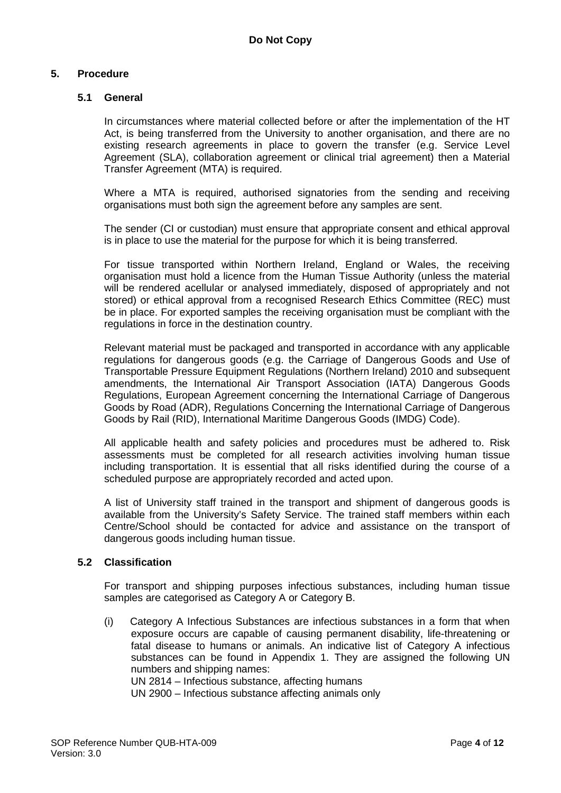#### **5. Procedure**

#### **5.1 General**

In circumstances where material collected before or after the implementation of the HT Act, is being transferred from the University to another organisation, and there are no existing research agreements in place to govern the transfer (e.g. Service Level Agreement (SLA), collaboration agreement or clinical trial agreement) then a Material Transfer Agreement (MTA) is required.

Where a MTA is required, authorised signatories from the sending and receiving organisations must both sign the agreement before any samples are sent.

The sender (CI or custodian) must ensure that appropriate consent and ethical approval is in place to use the material for the purpose for which it is being transferred.

For tissue transported within Northern Ireland, England or Wales, the receiving organisation must hold a licence from the Human Tissue Authority (unless the material will be rendered acellular or analysed immediately, disposed of appropriately and not stored) or ethical approval from a recognised Research Ethics Committee (REC) must be in place. For exported samples the receiving organisation must be compliant with the regulations in force in the destination country.

Relevant material must be packaged and transported in accordance with any applicable regulations for dangerous goods (e.g. the Carriage of Dangerous Goods and Use of Transportable Pressure Equipment Regulations (Northern Ireland) 2010 and subsequent amendments, the International Air Transport Association (IATA) Dangerous Goods Regulations, European Agreement concerning the International Carriage of Dangerous Goods by Road (ADR), Regulations Concerning the International Carriage of Dangerous Goods by Rail (RID), International Maritime Dangerous Goods (IMDG) Code).

All applicable health and safety policies and procedures must be adhered to. Risk assessments must be completed for all research activities involving human tissue including transportation. It is essential that all risks identified during the course of a scheduled purpose are appropriately recorded and acted upon.

A list of University staff trained in the transport and shipment of dangerous goods is available from the University's Safety Service. The trained staff members within each Centre/School should be contacted for advice and assistance on the transport of dangerous goods including human tissue.

#### **5.2 Classification**

For transport and shipping purposes infectious substances, including human tissue samples are categorised as Category A or Category B.

(i) Category A Infectious Substances are infectious substances in a form that when exposure occurs are capable of causing permanent disability, life-threatening or fatal disease to humans or animals. An indicative list of Category A infectious substances can be found in Appendix 1. They are assigned the following UN numbers and shipping names:

UN 2814 – Infectious substance, affecting humans

UN 2900 – Infectious substance affecting animals only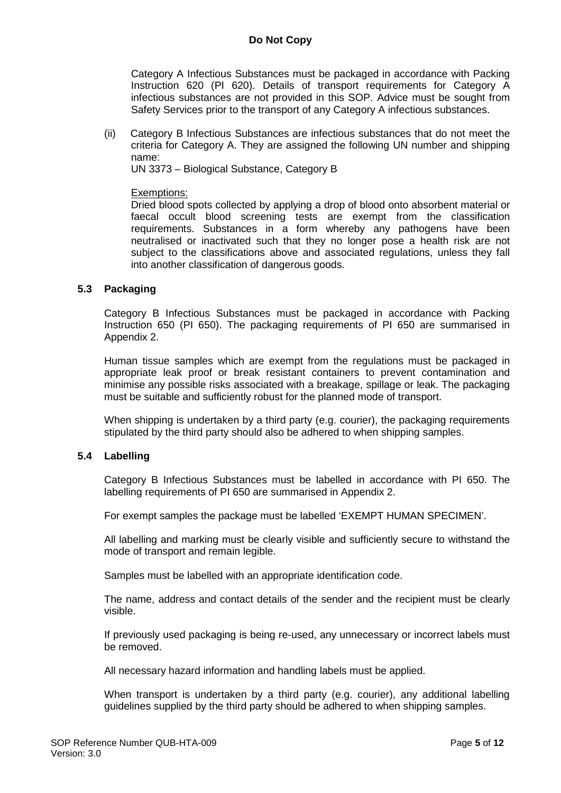Category A Infectious Substances must be packaged in accordance with Packing Instruction 620 (PI 620). Details of transport requirements for Category A infectious substances are not provided in this SOP. Advice must be sought from Safety Services prior to the transport of any Category A infectious substances.

(ii) Category B Infectious Substances are infectious substances that do not meet the criteria for Category A. They are assigned the following UN number and shipping name:

UN 3373 – Biological Substance, Category B

#### Exemptions:

Dried blood spots collected by applying a drop of blood onto absorbent material or faecal occult blood screening tests are exempt from the classification requirements. Substances in a form whereby any pathogens have been neutralised or inactivated such that they no longer pose a health risk are not subject to the classifications above and associated regulations, unless they fall into another classification of dangerous goods.

#### **5.3 Packaging**

Category B Infectious Substances must be packaged in accordance with Packing Instruction 650 (PI 650). The packaging requirements of PI 650 are summarised in Appendix 2.

Human tissue samples which are exempt from the regulations must be packaged in appropriate leak proof or break resistant containers to prevent contamination and minimise any possible risks associated with a breakage, spillage or leak. The packaging must be suitable and sufficiently robust for the planned mode of transport.

When shipping is undertaken by a third party (e.g. courier), the packaging requirements stipulated by the third party should also be adhered to when shipping samples.

#### **5.4 Labelling**

Category B Infectious Substances must be labelled in accordance with PI 650. The labelling requirements of PI 650 are summarised in Appendix 2.

For exempt samples the package must be labelled 'EXEMPT HUMAN SPECIMEN'.

All labelling and marking must be clearly visible and sufficiently secure to withstand the mode of transport and remain legible.

Samples must be labelled with an appropriate identification code.

The name, address and contact details of the sender and the recipient must be clearly visible.

If previously used packaging is being re-used, any unnecessary or incorrect labels must be removed.

All necessary hazard information and handling labels must be applied.

When transport is undertaken by a third party (e.g. courier), any additional labelling guidelines supplied by the third party should be adhered to when shipping samples.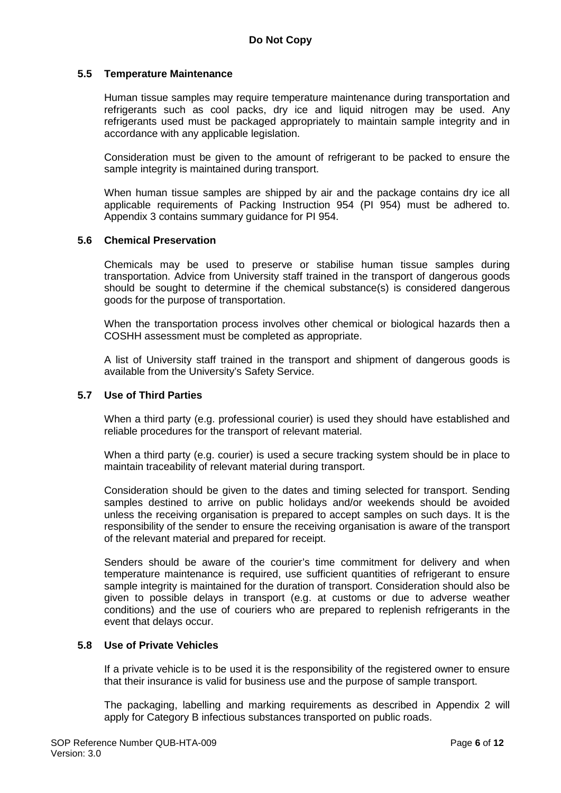#### **5.5 Temperature Maintenance**

Human tissue samples may require temperature maintenance during transportation and refrigerants such as cool packs, dry ice and liquid nitrogen may be used. Any refrigerants used must be packaged appropriately to maintain sample integrity and in accordance with any applicable legislation.

Consideration must be given to the amount of refrigerant to be packed to ensure the sample integrity is maintained during transport.

When human tissue samples are shipped by air and the package contains dry ice all applicable requirements of Packing Instruction 954 (PI 954) must be adhered to. Appendix 3 contains summary guidance for PI 954.

#### **5.6 Chemical Preservation**

Chemicals may be used to preserve or stabilise human tissue samples during transportation. Advice from University staff trained in the transport of dangerous goods should be sought to determine if the chemical substance(s) is considered dangerous goods for the purpose of transportation.

When the transportation process involves other chemical or biological hazards then a COSHH assessment must be completed as appropriate.

A list of University staff trained in the transport and shipment of dangerous goods is available from the University's Safety Service.

#### **5.7 Use of Third Parties**

When a third party (e.g. professional courier) is used they should have established and reliable procedures for the transport of relevant material.

When a third party (e.g. courier) is used a secure tracking system should be in place to maintain traceability of relevant material during transport.

Consideration should be given to the dates and timing selected for transport. Sending samples destined to arrive on public holidays and/or weekends should be avoided unless the receiving organisation is prepared to accept samples on such days. It is the responsibility of the sender to ensure the receiving organisation is aware of the transport of the relevant material and prepared for receipt.

Senders should be aware of the courier's time commitment for delivery and when temperature maintenance is required, use sufficient quantities of refrigerant to ensure sample integrity is maintained for the duration of transport. Consideration should also be given to possible delays in transport (e.g. at customs or due to adverse weather conditions) and the use of couriers who are prepared to replenish refrigerants in the event that delays occur.

#### **5.8 Use of Private Vehicles**

If a private vehicle is to be used it is the responsibility of the registered owner to ensure that their insurance is valid for business use and the purpose of sample transport.

The packaging, labelling and marking requirements as described in Appendix 2 will apply for Category B infectious substances transported on public roads.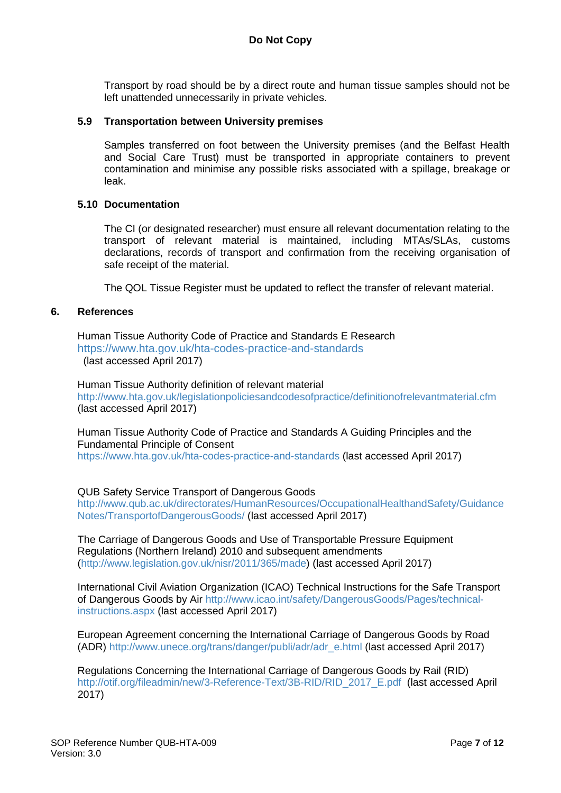Transport by road should be by a direct route and human tissue samples should not be left unattended unnecessarily in private vehicles.

#### **5.9 Transportation between University premises**

Samples transferred on foot between the University premises (and the Belfast Health and Social Care Trust) must be transported in appropriate containers to prevent contamination and minimise any possible risks associated with a spillage, breakage or leak.

#### **5.10 Documentation**

The CI (or designated researcher) must ensure all relevant documentation relating to the transport of relevant material is maintained, including MTAs/SLAs, customs declarations, records of transport and confirmation from the receiving organisation of safe receipt of the material.

The QOL Tissue Register must be updated to reflect the transfer of relevant material.

#### **6. References**

Human Tissue Authority Code of Practice and Standards E Research <https://www.hta.gov.uk/hta-codes-practice-and-standards> (last accessed April 2017)

Human Tissue Authority definition of relevant material <http://www.hta.gov.uk/legislationpoliciesandcodesofpractice/definitionofrelevantmaterial.cfm> (last accessed April 2017)

Human Tissue Authority Code of Practice and Standards A Guiding Principles and the Fundamental Principle of Consent <https://www.hta.gov.uk/hta-codes-practice-and-standards> (last accessed April 2017)

QUB Safety Service Transport of Dangerous Goods

[http://www.qub.ac.uk/directorates/HumanResources/OccupationalHealthandSafety/Guidance](http://www.qub.ac.uk/directorates/HumanResources/OccupationalHealthandSafety/GuidanceNotes/TransportofDangerousGoods/) [Notes/TransportofDangerousGoods/](http://www.qub.ac.uk/directorates/HumanResources/OccupationalHealthandSafety/GuidanceNotes/TransportofDangerousGoods/) (last accessed April 2017)

The Carriage of Dangerous Goods and Use of Transportable Pressure Equipment Regulations (Northern Ireland) 2010 and subsequent amendments [\(http://www.legislation.gov.uk/nisr/2011/365/made\)](http://www.legislation.gov.uk/nisr/2011/365/made) (last accessed April 2017)

International Civil Aviation Organization (ICAO) Technical Instructions for the Safe Transport of Dangerous Goods by Air [http://www.icao.int/safety/DangerousGoods/Pages/technical](http://www.icao.int/safety/DangerousGoods/Pages/technical-instructions.aspx)[instructions.aspx](http://www.icao.int/safety/DangerousGoods/Pages/technical-instructions.aspx) (last accessed April 2017)

European Agreement concerning the International Carriage of Dangerous Goods by Road (ADR) [http://www.unece.org/trans/danger/publi/adr/adr\\_e.html](http://www.unece.org/trans/danger/publi/adr/adr_e.html) (last accessed April 2017)

Regulations Concerning the International Carriage of Dangerous Goods by Rail (RID) [http://otif.org/fileadmin/new/3-Reference-Text/3B-RID/RID\\_2017\\_E.pdf](http://otif.org/fileadmin/new/3-Reference-Text/3B-RID/RID_2017_E.pdf) (last accessed April 2017)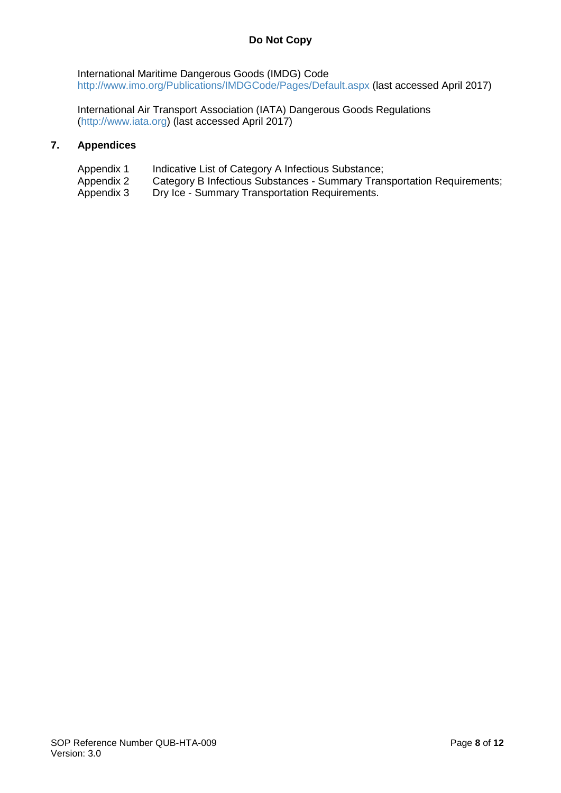International Maritime Dangerous Goods (IMDG) Code <http://www.imo.org/Publications/IMDGCode/Pages/Default.aspx> (last accessed April 2017)

International Air Transport Association (IATA) Dangerous Goods Regulations [\(http://www.iata.org\)](http://www.iata.org/) (last accessed April 2017)

#### **7. Appendices**

- Appendix 1 Indicative List of Category A Infectious Substance;<br>Appendix 2 Category B Infectious Substances Summary Tran
- Appendix 2 Category B Infectious Substances Summary Transportation Requirements;<br>Appendix 3 Dry Ice Summary Transportation Requirements.
- Dry Ice Summary Transportation Requirements.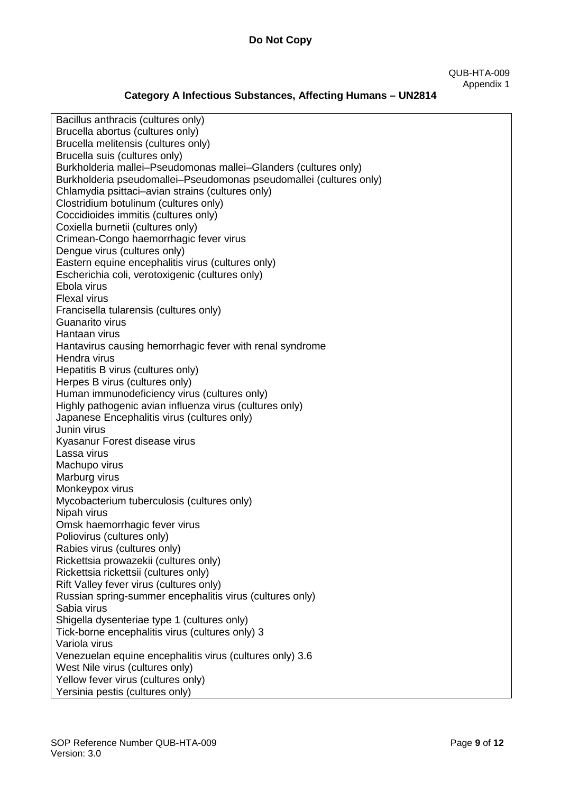#### QUB-HTA-009 Appendix 1

# **Category A Infectious Substances, Affecting Humans – UN2814**

| Bacillus anthracis (cultures only)<br>Brucella abortus (cultures only) |
|------------------------------------------------------------------------|
|                                                                        |
| Brucella melitensis (cultures only)                                    |
| Brucella suis (cultures only)                                          |
| Burkholderia mallei-Pseudomonas mallei-Glanders (cultures only)        |
| Burkholderia pseudomallei-Pseudomonas pseudomallei (cultures only)     |
| Chlamydia psittaci-avian strains (cultures only)                       |
| Clostridium botulinum (cultures only)                                  |
| Coccidioides immitis (cultures only)                                   |
| Coxiella burnetii (cultures only)                                      |
| Crimean-Congo haemorrhagic fever virus                                 |
| Dengue virus (cultures only)                                           |
| Eastern equine encephalitis virus (cultures only)                      |
| Escherichia coli, verotoxigenic (cultures only)                        |
| Ebola virus                                                            |
|                                                                        |
| <b>Flexal virus</b>                                                    |
| Francisella tularensis (cultures only)                                 |
| Guanarito virus                                                        |
| Hantaan virus                                                          |
| Hantavirus causing hemorrhagic fever with renal syndrome               |
| Hendra virus                                                           |
| Hepatitis B virus (cultures only)                                      |
| Herpes B virus (cultures only)                                         |
| Human immunodeficiency virus (cultures only)                           |
| Highly pathogenic avian influenza virus (cultures only)                |
| Japanese Encephalitis virus (cultures only)                            |
| Junin virus                                                            |
| Kyasanur Forest disease virus                                          |
| Lassa virus                                                            |
| Machupo virus                                                          |
| Marburg virus                                                          |
| Monkeypox virus                                                        |
|                                                                        |
| Mycobacterium tuberculosis (cultures only)                             |
| Nipah virus                                                            |
| Omsk haemorrhagic fever virus                                          |
| Poliovirus (cultures only)                                             |
| Rabies virus (cultures only)                                           |
| Rickettsia prowazekii (cultures only)                                  |
| Rickettsia rickettsii (cultures only)                                  |
| Rift Valley fever virus (cultures only)                                |
| Russian spring-summer encephalitis virus (cultures only)               |
| Sabia virus                                                            |
| Shigella dysenteriae type 1 (cultures only)                            |
| Tick-borne encephalitis virus (cultures only) 3                        |
| Variola virus                                                          |
| Venezuelan equine encephalitis virus (cultures only) 3.6               |
| West Nile virus (cultures only)                                        |
| Yellow fever virus (cultures only)                                     |
|                                                                        |
| Yersinia pestis (cultures only)                                        |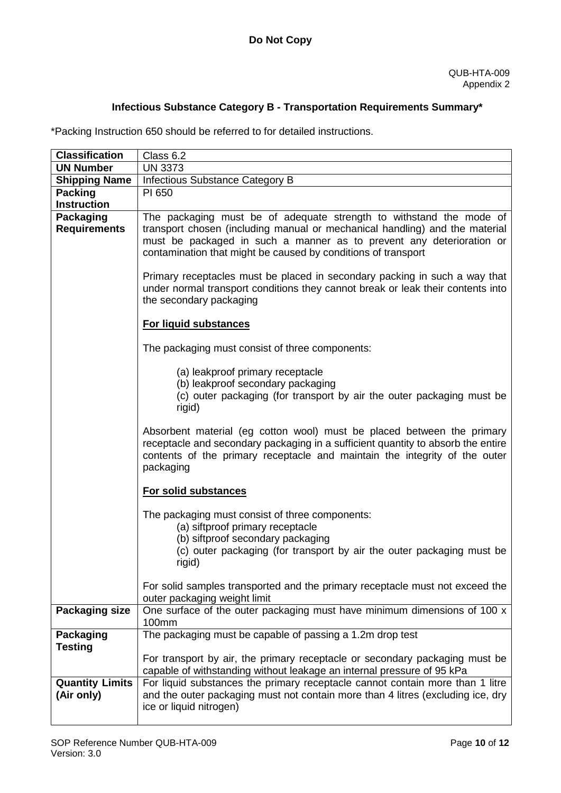### **Infectious Substance Category B - Transportation Requirements Summary\***

\*Packing Instruction 650 should be referred to for detailed instructions.

| <b>Classification</b>  | Class 6.2                                                                                                                                               |
|------------------------|---------------------------------------------------------------------------------------------------------------------------------------------------------|
| <b>UN Number</b>       | <b>UN 3373</b>                                                                                                                                          |
| <b>Shipping Name</b>   | Infectious Substance Category B                                                                                                                         |
| <b>Packing</b>         | PI 650                                                                                                                                                  |
| <b>Instruction</b>     |                                                                                                                                                         |
| Packaging              | The packaging must be of adequate strength to withstand the mode of                                                                                     |
| <b>Requirements</b>    | transport chosen (including manual or mechanical handling) and the material                                                                             |
|                        | must be packaged in such a manner as to prevent any deterioration or                                                                                    |
|                        | contamination that might be caused by conditions of transport                                                                                           |
|                        | Primary receptacles must be placed in secondary packing in such a way that                                                                              |
|                        | under normal transport conditions they cannot break or leak their contents into                                                                         |
|                        | the secondary packaging                                                                                                                                 |
|                        | <b>For liquid substances</b>                                                                                                                            |
|                        |                                                                                                                                                         |
|                        | The packaging must consist of three components:                                                                                                         |
|                        | (a) leakproof primary receptacle                                                                                                                        |
|                        | (b) leakproof secondary packaging                                                                                                                       |
|                        | (c) outer packaging (for transport by air the outer packaging must be                                                                                   |
|                        | rigid)                                                                                                                                                  |
|                        | Absorbent material (eg cotton wool) must be placed between the primary                                                                                  |
|                        | receptacle and secondary packaging in a sufficient quantity to absorb the entire                                                                        |
|                        | contents of the primary receptacle and maintain the integrity of the outer                                                                              |
|                        | packaging                                                                                                                                               |
|                        |                                                                                                                                                         |
|                        | For solid substances                                                                                                                                    |
|                        | The packaging must consist of three components:                                                                                                         |
|                        | (a) siftproof primary receptacle                                                                                                                        |
|                        | (b) siftproof secondary packaging                                                                                                                       |
|                        | (c) outer packaging (for transport by air the outer packaging must be                                                                                   |
|                        | rigid)                                                                                                                                                  |
|                        | For solid samples transported and the primary receptacle must not exceed the                                                                            |
|                        | outer packaging weight limit                                                                                                                            |
| <b>Packaging size</b>  | One surface of the outer packaging must have minimum dimensions of 100 x                                                                                |
|                        | 100mm                                                                                                                                                   |
| Packaging              | The packaging must be capable of passing a 1.2m drop test                                                                                               |
| <b>Testing</b>         |                                                                                                                                                         |
|                        | For transport by air, the primary receptacle or secondary packaging must be                                                                             |
| <b>Quantity Limits</b> | capable of withstanding without leakage an internal pressure of 95 kPa<br>For liquid substances the primary receptacle cannot contain more than 1 litre |
| (Air only)             | and the outer packaging must not contain more than 4 litres (excluding ice, dry                                                                         |
|                        | ice or liquid nitrogen)                                                                                                                                 |
|                        |                                                                                                                                                         |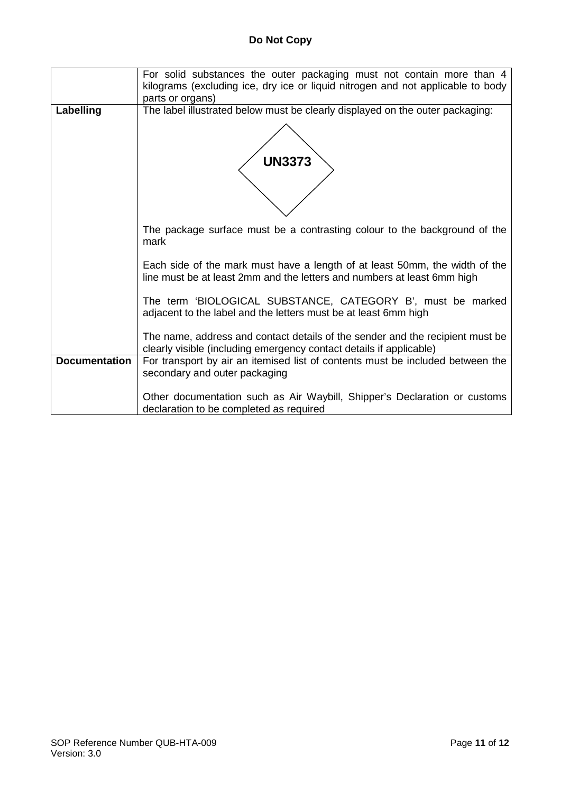|                      | For solid substances the outer packaging must not contain more than 4<br>kilograms (excluding ice, dry ice or liquid nitrogen and not applicable to body |
|----------------------|----------------------------------------------------------------------------------------------------------------------------------------------------------|
|                      |                                                                                                                                                          |
|                      | parts or organs)                                                                                                                                         |
| Labelling            | The label illustrated below must be clearly displayed on the outer packaging:                                                                            |
|                      | <b>UN3373</b>                                                                                                                                            |
|                      | The package surface must be a contrasting colour to the background of the<br>mark                                                                        |
|                      | Each side of the mark must have a length of at least 50mm, the width of the<br>line must be at least 2mm and the letters and numbers at least 6mm high   |
|                      | The term 'BIOLOGICAL SUBSTANCE, CATEGORY B', must be marked<br>adjacent to the label and the letters must be at least 6mm high                           |
|                      | The name, address and contact details of the sender and the recipient must be<br>clearly visible (including emergency contact details if applicable)     |
| <b>Documentation</b> | For transport by air an itemised list of contents must be included between the                                                                           |
|                      | secondary and outer packaging                                                                                                                            |
|                      |                                                                                                                                                          |
|                      | Other documentation such as Air Waybill, Shipper's Declaration or customs                                                                                |
|                      | declaration to be completed as required                                                                                                                  |